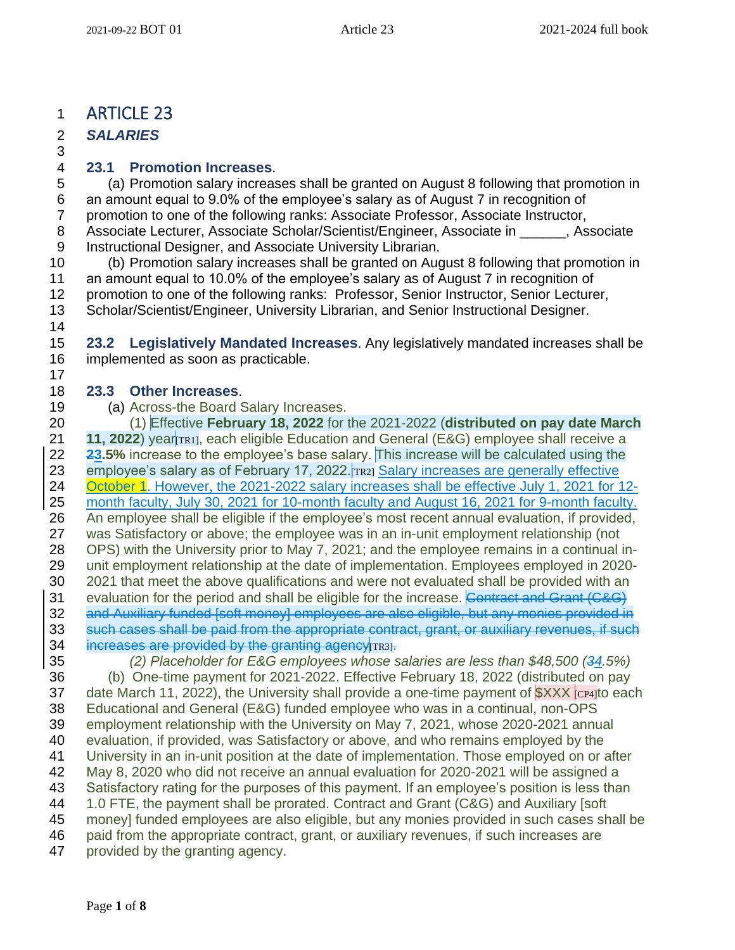## ARTICLE 23

 *SALARIES* 

#### **23.1 Promotion Increases**.

 (a) Promotion salary increases shall be granted on August 8 following that promotion in an amount equal to 9.0% of the employee's salary as of August 7 in recognition of promotion to one of the following ranks: Associate Professor, Associate Instructor, 8 Associate Lecturer, Associate Scholar/Scientist/Engineer, Associate in Fassociate Instructional Designer, and Associate University Librarian.

 (b) Promotion salary increases shall be granted on August 8 following that promotion in an amount equal to 10.0% of the employee's salary as of August 7 in recognition of promotion to one of the following ranks: Professor, Senior Instructor, Senior Lecturer, Scholar/Scientist/Engineer, University Librarian, and Senior Instructional Designer. 

 **23.2 Legislatively Mandated Increases**. Any legislatively mandated increases shall be implemented as soon as practicable.

#### **23.3 Other Increases**.

(a) Across-the Board Salary Increases.

 (1) Effective **February 18, 2022** for the 2021-2022 (**distributed on pay date March 11, 2022**) year[TR1], each eligible Education and General (E&G) employee shall receive a **23.5%** increase to the employee's base salary. This increase will be calculated using the 23 employee's salary as of February 17, 2022. Trazi Salary increases are generally effective 24 October 1. However, the 2021-2022 salary increases shall be effective July 1, 2021 for 12- month faculty, July 30, 2021 for 10-month faculty and August 16, 2021 for 9-month faculty. An employee shall be eligible if the employee's most recent annual evaluation, if provided, was Satisfactory or above; the employee was in an in-unit employment relationship (not OPS) with the University prior to May 7, 2021; and the employee remains in a continual in- unit employment relationship at the date of implementation. Employees employed in 2020- 2021 that meet the above qualifications and were not evaluated shall be provided with an 31 evaluation for the period and shall be eligible for the increase. Contract and Grant (C&G) 32 and Auxiliary funded [soft money] employees are also eligible, but any monies provided in such cases shall be paid from the appropriate contract, grant, or auxiliary revenues, if such 34 increases are provided by the granting agency [TR3].

 *(2) Placeholder for E&G employees whose salaries are less than \$48,500 (34.5%)* (b) One-time payment for 2021-2022. Effective February 18, 2022 (distributed on pay 37 date March 11, 2022), the University shall provide a one-time payment of  $XXX$   $_{CPA}$  to each Educational and General (E&G) funded employee who was in a continual, non-OPS employment relationship with the University on May 7, 2021, whose 2020-2021 annual evaluation, if provided, was Satisfactory or above, and who remains employed by the University in an in-unit position at the date of implementation. Those employed on or after May 8, 2020 who did not receive an annual evaluation for 2020-2021 will be assigned a Satisfactory rating for the purposes of this payment. If an employee's position is less than 1.0 FTE, the payment shall be prorated. Contract and Grant (C&G) and Auxiliary [soft money] funded employees are also eligible, but any monies provided in such cases shall be paid from the appropriate contract, grant, or auxiliary revenues, if such increases are provided by the granting agency.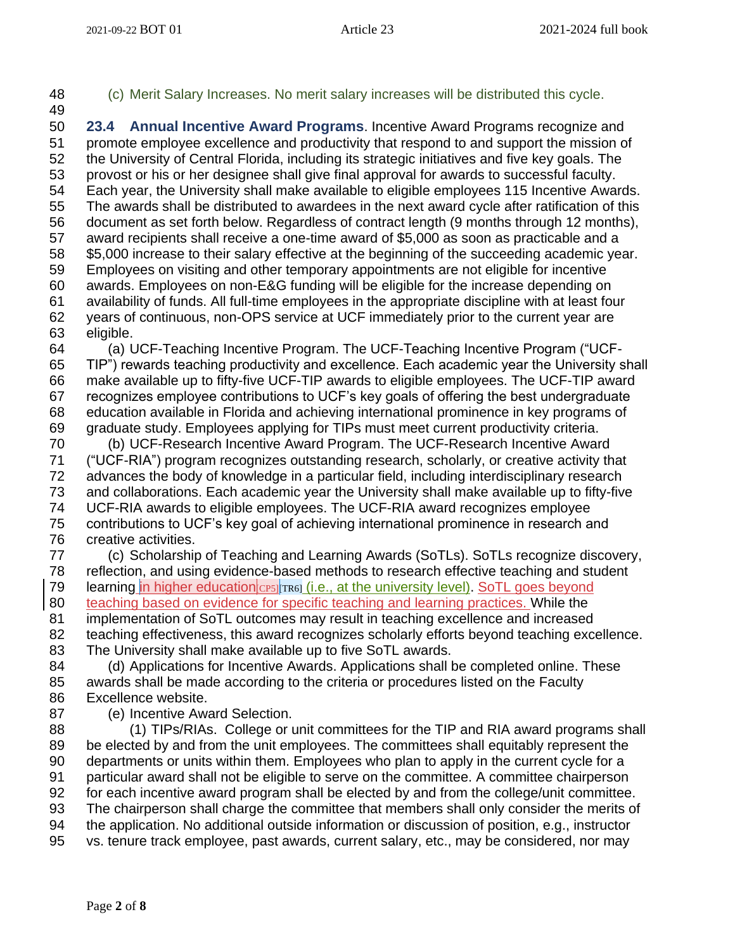- 
- (c) Merit Salary Increases. No merit salary increases will be distributed this cycle.

 **23.4 Annual Incentive Award Programs**. Incentive Award Programs recognize and promote employee excellence and productivity that respond to and support the mission of the University of Central Florida, including its strategic initiatives and five key goals. The provost or his or her designee shall give final approval for awards to successful faculty. Each year, the University shall make available to eligible employees 115 Incentive Awards. The awards shall be distributed to awardees in the next award cycle after ratification of this document as set forth below. Regardless of contract length (9 months through 12 months), award recipients shall receive a one-time award of \$5,000 as soon as practicable and a \$5,000 increase to their salary effective at the beginning of the succeeding academic year. Employees on visiting and other temporary appointments are not eligible for incentive awards. Employees on non-E&G funding will be eligible for the increase depending on availability of funds. All full-time employees in the appropriate discipline with at least four years of continuous, non-OPS service at UCF immediately prior to the current year are eligible. (a) UCF-Teaching Incentive Program. The UCF-Teaching Incentive Program ("UCF-

 TIP") rewards teaching productivity and excellence. Each academic year the University shall make available up to fifty-five UCF-TIP awards to eligible employees. The UCF-TIP award recognizes employee contributions to UCF's key goals of offering the best undergraduate education available in Florida and achieving international prominence in key programs of graduate study. Employees applying for TIPs must meet current productivity criteria.

 (b) UCF-Research Incentive Award Program. The UCF-Research Incentive Award ("UCF-RIA") program recognizes outstanding research, scholarly, or creative activity that advances the body of knowledge in a particular field, including interdisciplinary research and collaborations. Each academic year the University shall make available up to fifty-five UCF-RIA awards to eligible employees. The UCF-RIA award recognizes employee contributions to UCF's key goal of achieving international prominence in research and creative activities.

 (c) Scholarship of Teaching and Learning Awards (SoTLs). SoTLs recognize discovery, reflection, and using evidence-based methods to research effective teaching and student 79 learning in higher education CP5 TR6 (i.e., at the university level). SoTL goes beyond 80 teaching based on evidence for specific teaching and learning practices. While the implementation of SoTL outcomes may result in teaching excellence and increased 82 teaching effectiveness, this award recognizes scholarly efforts beyond teaching excellence.

The University shall make available up to five SoTL awards.

84 (d) Applications for Incentive Awards. Applications shall be completed online. These awards shall be made according to the criteria or procedures listed on the Faculty Excellence website.

(e) Incentive Award Selection.

 (1) TIPs/RIAs. College or unit committees for the TIP and RIA award programs shall be elected by and from the unit employees. The committees shall equitably represent the departments or units within them. Employees who plan to apply in the current cycle for a particular award shall not be eligible to serve on the committee. A committee chairperson for each incentive award program shall be elected by and from the college/unit committee. The chairperson shall charge the committee that members shall only consider the merits of the application. No additional outside information or discussion of position, e.g., instructor vs. tenure track employee, past awards, current salary, etc., may be considered, nor may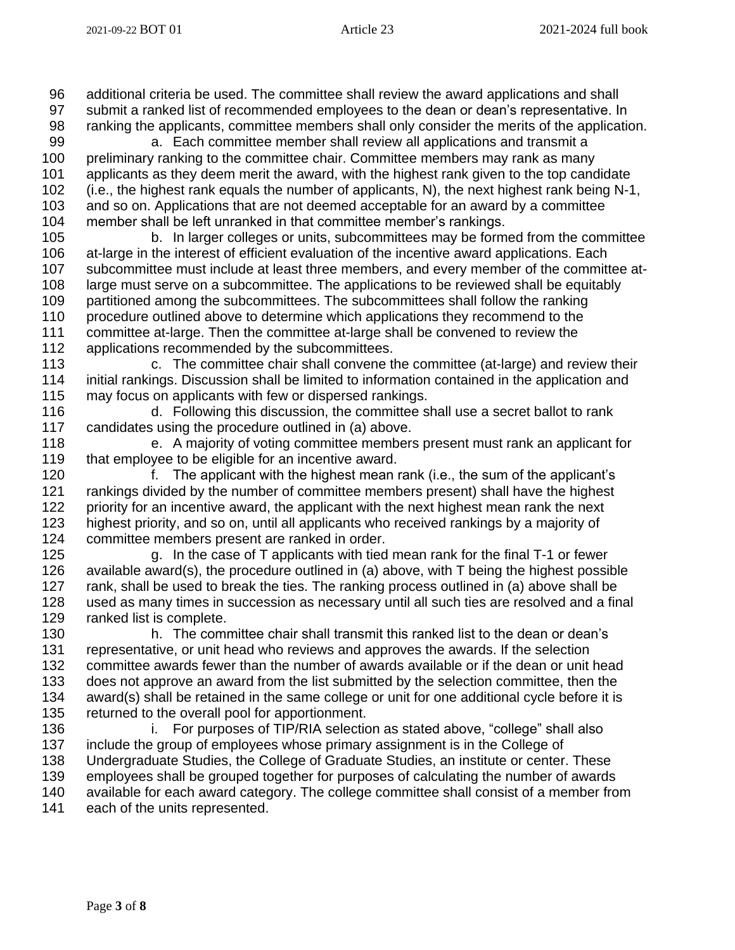additional criteria be used. The committee shall review the award applications and shall

 submit a ranked list of recommended employees to the dean or dean's representative. In ranking the applicants, committee members shall only consider the merits of the application.

 a. Each committee member shall review all applications and transmit a preliminary ranking to the committee chair. Committee members may rank as many applicants as they deem merit the award, with the highest rank given to the top candidate

 (i.e., the highest rank equals the number of applicants, N), the next highest rank being N-1, and so on. Applications that are not deemed acceptable for an award by a committee

member shall be left unranked in that committee member's rankings.

 b. In larger colleges or units, subcommittees may be formed from the committee at-large in the interest of efficient evaluation of the incentive award applications. Each subcommittee must include at least three members, and every member of the committee at- large must serve on a subcommittee. The applications to be reviewed shall be equitably partitioned among the subcommittees. The subcommittees shall follow the ranking procedure outlined above to determine which applications they recommend to the committee at-large. Then the committee at-large shall be convened to review the applications recommended by the subcommittees.

 c. The committee chair shall convene the committee (at-large) and review their initial rankings. Discussion shall be limited to information contained in the application and may focus on applicants with few or dispersed rankings.

 d. Following this discussion, the committee shall use a secret ballot to rank candidates using the procedure outlined in (a) above.

 e. A majority of voting committee members present must rank an applicant for 119 that employee to be eligible for an incentive award.

 f. The applicant with the highest mean rank (i.e., the sum of the applicant's rankings divided by the number of committee members present) shall have the highest 122 priority for an incentive award, the applicant with the next highest mean rank the next highest priority, and so on, until all applicants who received rankings by a majority of committee members present are ranked in order.

 g. In the case of T applicants with tied mean rank for the final T-1 or fewer available award(s), the procedure outlined in (a) above, with T being the highest possible rank, shall be used to break the ties. The ranking process outlined in (a) above shall be used as many times in succession as necessary until all such ties are resolved and a final ranked list is complete.

 h. The committee chair shall transmit this ranked list to the dean or dean's representative, or unit head who reviews and approves the awards. If the selection committee awards fewer than the number of awards available or if the dean or unit head does not approve an award from the list submitted by the selection committee, then the award(s) shall be retained in the same college or unit for one additional cycle before it is returned to the overall pool for apportionment.

**i.** For purposes of TIP/RIA selection as stated above, "college" shall also include the group of employees whose primary assignment is in the College of Undergraduate Studies, the College of Graduate Studies, an institute or center. These employees shall be grouped together for purposes of calculating the number of awards available for each award category. The college committee shall consist of a member from each of the units represented.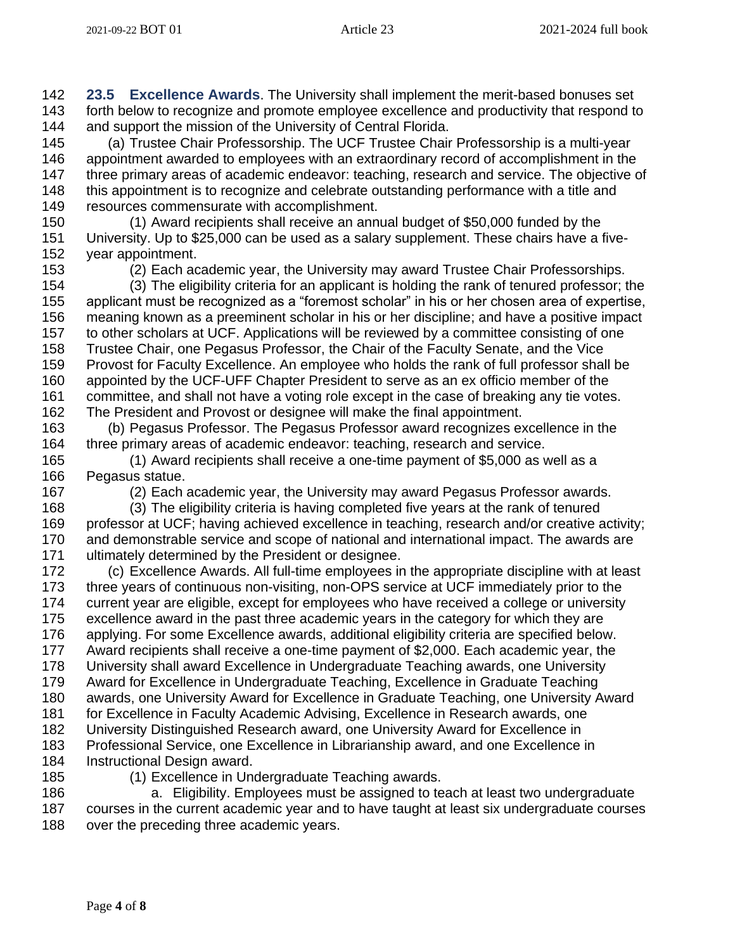**23.5 Excellence Awards**. The University shall implement the merit-based bonuses set forth below to recognize and promote employee excellence and productivity that respond to and support the mission of the University of Central Florida.

 (a) Trustee Chair Professorship. The UCF Trustee Chair Professorship is a multi-year appointment awarded to employees with an extraordinary record of accomplishment in the 147 three primary areas of academic endeavor: teaching, research and service. The objective of this appointment is to recognize and celebrate outstanding performance with a title and resources commensurate with accomplishment.

 (1) Award recipients shall receive an annual budget of \$50,000 funded by the University. Up to \$25,000 can be used as a salary supplement. These chairs have a five-year appointment.

(2) Each academic year, the University may award Trustee Chair Professorships.

 (3) The eligibility criteria for an applicant is holding the rank of tenured professor; the applicant must be recognized as a "foremost scholar" in his or her chosen area of expertise, meaning known as a preeminent scholar in his or her discipline; and have a positive impact to other scholars at UCF. Applications will be reviewed by a committee consisting of one Trustee Chair, one Pegasus Professor, the Chair of the Faculty Senate, and the Vice Provost for Faculty Excellence. An employee who holds the rank of full professor shall be appointed by the UCF-UFF Chapter President to serve as an ex officio member of the committee, and shall not have a voting role except in the case of breaking any tie votes. The President and Provost or designee will make the final appointment.

 (b) Pegasus Professor. The Pegasus Professor award recognizes excellence in the three primary areas of academic endeavor: teaching, research and service.

 (1) Award recipients shall receive a one-time payment of \$5,000 as well as a Pegasus statue.

(2) Each academic year, the University may award Pegasus Professor awards.

 (3) The eligibility criteria is having completed five years at the rank of tenured professor at UCF; having achieved excellence in teaching, research and/or creative activity; and demonstrable service and scope of national and international impact. The awards are ultimately determined by the President or designee.

 (c) Excellence Awards. All full-time employees in the appropriate discipline with at least three years of continuous non-visiting, non-OPS service at UCF immediately prior to the current year are eligible, except for employees who have received a college or university excellence award in the past three academic years in the category for which they are applying. For some Excellence awards, additional eligibility criteria are specified below. Award recipients shall receive a one-time payment of \$2,000. Each academic year, the University shall award Excellence in Undergraduate Teaching awards, one University Award for Excellence in Undergraduate Teaching, Excellence in Graduate Teaching awards, one University Award for Excellence in Graduate Teaching, one University Award 181 for Excellence in Faculty Academic Advising, Excellence in Research awards, one University Distinguished Research award, one University Award for Excellence in Professional Service, one Excellence in Librarianship award, and one Excellence in Instructional Design award.

(1) Excellence in Undergraduate Teaching awards.

 a. Eligibility. Employees must be assigned to teach at least two undergraduate courses in the current academic year and to have taught at least six undergraduate courses 188 over the preceding three academic years.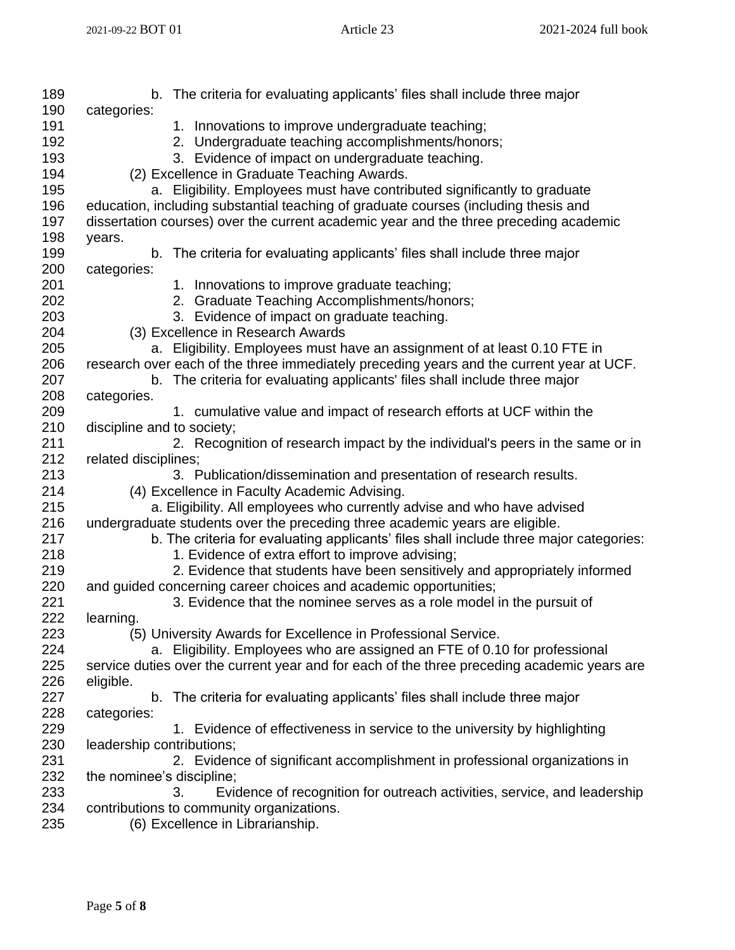| 189 | b. The criteria for evaluating applicants' files shall include three major                  |
|-----|---------------------------------------------------------------------------------------------|
| 190 | categories:                                                                                 |
| 191 | 1. Innovations to improve undergraduate teaching;                                           |
| 192 | 2. Undergraduate teaching accomplishments/honors;                                           |
| 193 | 3. Evidence of impact on undergraduate teaching.                                            |
| 194 | (2) Excellence in Graduate Teaching Awards.                                                 |
| 195 | a. Eligibility. Employees must have contributed significantly to graduate                   |
| 196 | education, including substantial teaching of graduate courses (including thesis and         |
| 197 | dissertation courses) over the current academic year and the three preceding academic       |
| 198 | years.                                                                                      |
| 199 | b. The criteria for evaluating applicants' files shall include three major                  |
| 200 | categories:                                                                                 |
| 201 | 1. Innovations to improve graduate teaching;                                                |
| 202 | 2. Graduate Teaching Accomplishments/honors;                                                |
| 203 | 3. Evidence of impact on graduate teaching.                                                 |
| 204 | (3) Excellence in Research Awards                                                           |
| 205 | a. Eligibility. Employees must have an assignment of at least 0.10 FTE in                   |
| 206 | research over each of the three immediately preceding years and the current year at UCF.    |
| 207 | b. The criteria for evaluating applicants' files shall include three major                  |
| 208 | categories.                                                                                 |
| 209 | 1. cumulative value and impact of research efforts at UCF within the                        |
| 210 | discipline and to society;                                                                  |
| 211 | 2. Recognition of research impact by the individual's peers in the same or in               |
| 212 | related disciplines;                                                                        |
| 213 | 3. Publication/dissemination and presentation of research results.                          |
| 214 | (4) Excellence in Faculty Academic Advising.                                                |
| 215 | a. Eligibility. All employees who currently advise and who have advised                     |
| 216 | undergraduate students over the preceding three academic years are eligible.                |
| 217 | b. The criteria for evaluating applicants' files shall include three major categories:      |
| 218 | 1. Evidence of extra effort to improve advising;                                            |
| 219 | 2. Evidence that students have been sensitively and appropriately informed                  |
| 220 | and guided concerning career choices and academic opportunities;                            |
| 221 | 3. Evidence that the nominee serves as a role model in the pursuit of                       |
| 222 | learning.                                                                                   |
| 223 | (5) University Awards for Excellence in Professional Service.                               |
| 224 | a. Eligibility. Employees who are assigned an FTE of 0.10 for professional                  |
| 225 | service duties over the current year and for each of the three preceding academic years are |
| 226 | eligible.                                                                                   |
| 227 | The criteria for evaluating applicants' files shall include three major<br>b.               |
| 228 | categories:                                                                                 |
| 229 | 1. Evidence of effectiveness in service to the university by highlighting                   |
| 230 | leadership contributions;                                                                   |
| 231 | 2. Evidence of significant accomplishment in professional organizations in                  |
| 232 | the nominee's discipline;                                                                   |
|     |                                                                                             |
| 233 | Evidence of recognition for outreach activities, service, and leadership<br>3.              |
| 234 | contributions to community organizations.                                                   |
| 235 | (6) Excellence in Librarianship.                                                            |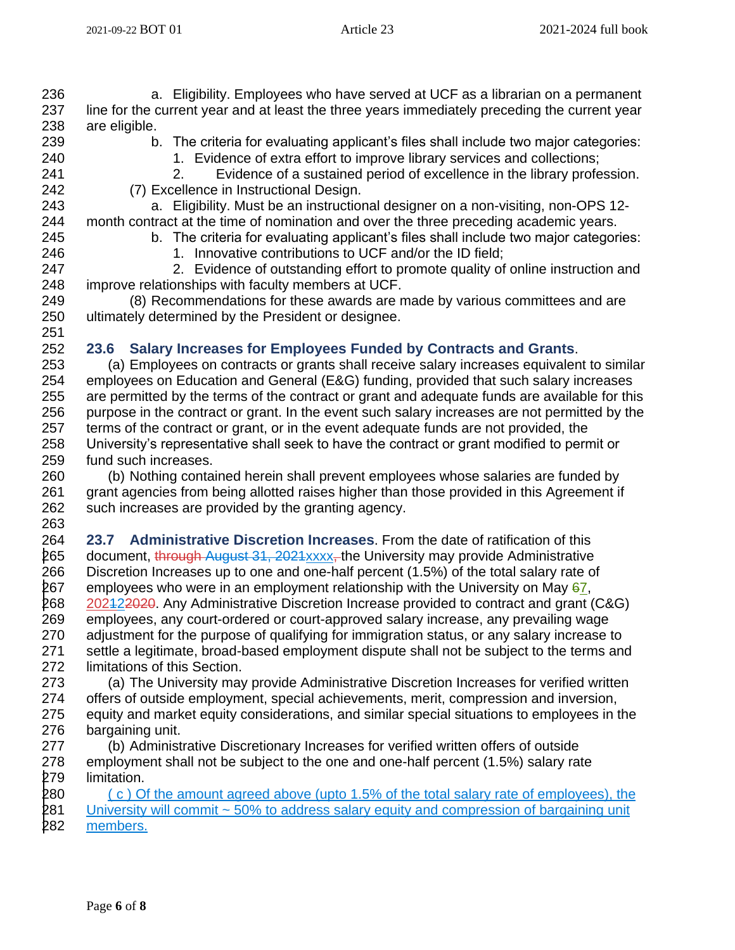a. Eligibility. Employees who have served at UCF as a librarian on a permanent line for the current year and at least the three years immediately preceding the current year are eligible.

- 
- b. The criteria for evaluating applicant's files shall include two major categories:
- 240 1. Evidence of extra effort to improve library services and collections;
- 2. Evidence of a sustained period of excellence in the library profession. (7) Excellence in Instructional Design.

 a. Eligibility. Must be an instructional designer on a non-visiting, non-OPS 12- month contract at the time of nomination and over the three preceding academic years. b. The criteria for evaluating applicant's files shall include two major categories:

246 1. Innovative contributions to UCF and/or the ID field;

 2. Evidence of outstanding effort to promote quality of online instruction and improve relationships with faculty members at UCF.

 (8) Recommendations for these awards are made by various committees and are ultimately determined by the President or designee.

### **23.6 Salary Increases for Employees Funded by Contracts and Grants**.

 (a) Employees on contracts or grants shall receive salary increases equivalent to similar employees on Education and General (E&G) funding, provided that such salary increases are permitted by the terms of the contract or grant and adequate funds are available for this purpose in the contract or grant. In the event such salary increases are not permitted by the terms of the contract or grant, or in the event adequate funds are not provided, the University's representative shall seek to have the contract or grant modified to permit or fund such increases.

 (b) Nothing contained herein shall prevent employees whose salaries are funded by grant agencies from being allotted raises higher than those provided in this Agreement if such increases are provided by the granting agency. 

 **23.7 Administrative Discretion Increases**. From the date of ratification of this 265 document, through August 31, 2021xxxx, the University may provide Administrative Discretion Increases up to one and one-half percent (1.5%) of the total salary rate of 267 employees who were in an employment relationship with the University on May , 202122020. Any Administrative Discretion Increase provided to contract and grant (C&G) employees, any court-ordered or court-approved salary increase, any prevailing wage adjustment for the purpose of qualifying for immigration status, or any salary increase to settle a legitimate, broad-based employment dispute shall not be subject to the terms and limitations of this Section.

 (a) The University may provide Administrative Discretion Increases for verified written offers of outside employment, special achievements, merit, compression and inversion, equity and market equity considerations, and similar special situations to employees in the bargaining unit.

 (b) Administrative Discretionary Increases for verified written offers of outside employment shall not be subject to the one and one-half percent (1.5%) salary rate limitation.

280  $\left( c \right)$  Of the amount agreed above (upto 1.5% of the total salary rate of employees), the 281 University will commit ~ 50% to address salary equity and compression of bargaining unit members.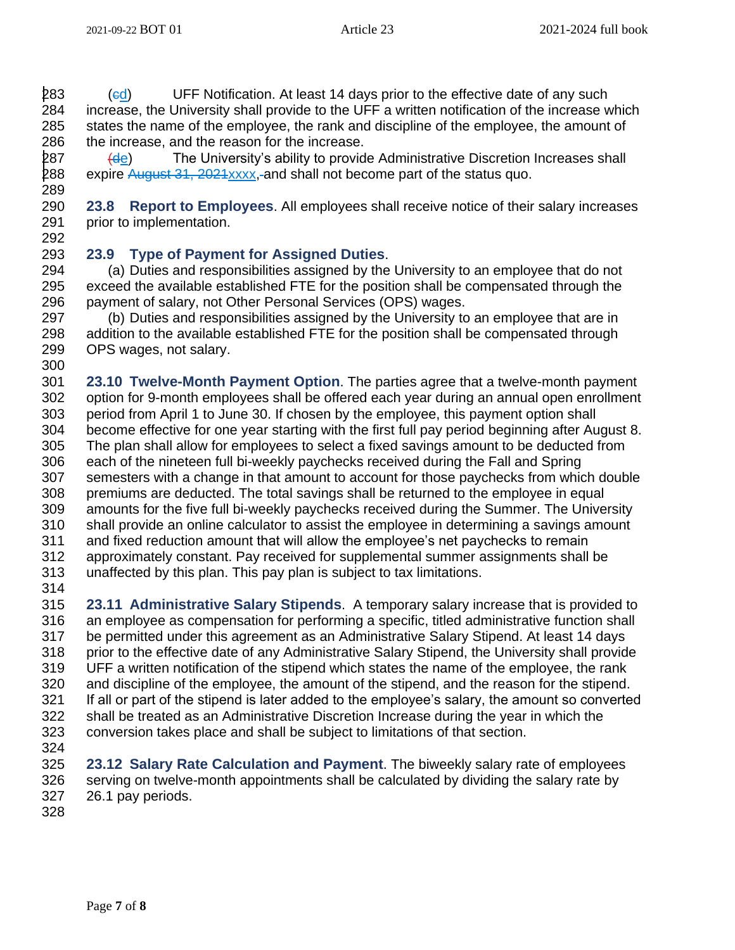283 (ed) UFF Notification. At least 14 days prior to the effective date of any such increase, the University shall provide to the UFF a written notification of the increase which states the name of the employee, the rank and discipline of the employee, the amount of 286 the increase, and the reason for the increase.

287  $\left(\frac{d_e}{d_e}\right)$  The University's ability to provide Administrative Discretion Increases shall 288 expire August 31, 2021xxxx, and shall not become part of the status quo. 

 **23.8 Report to Employees**. All employees shall receive notice of their salary increases prior to implementation. 

### **23.9 Type of Payment for Assigned Duties**.

 (a) Duties and responsibilities assigned by the University to an employee that do not exceed the available established FTE for the position shall be compensated through the payment of salary, not Other Personal Services (OPS) wages.

 (b) Duties and responsibilities assigned by the University to an employee that are in addition to the available established FTE for the position shall be compensated through OPS wages, not salary. 

 **23.10 Twelve-Month Payment Option**. The parties agree that a twelve-month payment option for 9-month employees shall be offered each year during an annual open enrollment period from April 1 to June 30. If chosen by the employee, this payment option shall become effective for one year starting with the first full pay period beginning after August 8. The plan shall allow for employees to select a fixed savings amount to be deducted from each of the nineteen full bi-weekly paychecks received during the Fall and Spring semesters with a change in that amount to account for those paychecks from which double premiums are deducted. The total savings shall be returned to the employee in equal amounts for the five full bi-weekly paychecks received during the Summer. The University shall provide an online calculator to assist the employee in determining a savings amount and fixed reduction amount that will allow the employee's net paychecks to remain approximately constant. Pay received for supplemental summer assignments shall be unaffected by this plan. This pay plan is subject to tax limitations. 

 **23.11 Administrative Salary Stipends**. A temporary salary increase that is provided to an employee as compensation for performing a specific, titled administrative function shall be permitted under this agreement as an Administrative Salary Stipend. At least 14 days prior to the effective date of any Administrative Salary Stipend, the University shall provide UFF a written notification of the stipend which states the name of the employee, the rank and discipline of the employee, the amount of the stipend, and the reason for the stipend. If all or part of the stipend is later added to the employee's salary, the amount so converted shall be treated as an Administrative Discretion Increase during the year in which the conversion takes place and shall be subject to limitations of that section. 

 **23.12 Salary Rate Calculation and Payment**. The biweekly salary rate of employees serving on twelve-month appointments shall be calculated by dividing the salary rate by 26.1 pay periods.